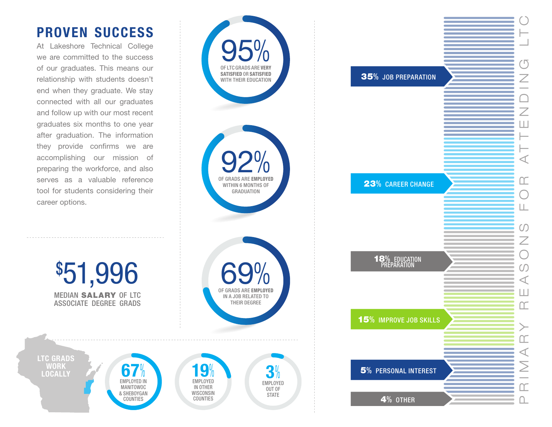## **PROVEN SUCCESS**

At Lakeshore Technical College we are committed to the success of our graduates. This means our relationship with students doesn't end when they graduate. We stay connected with all our graduates and follow up with our most recent graduates six months to one year after graduation. The information they provide confirms we are accomplishing our mission of preparing the workforce, and also serves as a valuable reference tool for students considering their career options.

**LTC GRADS WORK** 

**S51,996**<br>
MEDIAN SALARY OF LTO<br>
ASSOCIATE DEGREE GRADS<br>
TC GRADS<br>
WORK<br>
LOCALLY

MEDIAN SALARY OF LTC ASSOCIATE DEGREE GRADS

**67**

 $\sqrt{0}$ EMPLOYED IN MANITOWOC & SHEBOYGAN COUNTIES